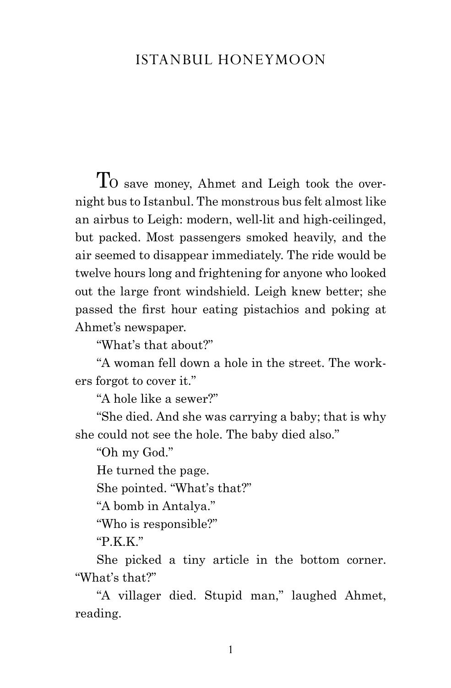## Istanbul honeymoon

TO save money, Ahmet and Leigh took the overnight bus to Istanbul. The monstrous bus felt almost like an airbus to Leigh: modern, well-lit and high-ceilinged, but packed. Most passengers smoked heavily, and the air seemed to disappear immediately. The ride would be twelve hours long and frightening for anyone who looked out the large front windshield. Leigh knew better; she passed the first hour eating pistachios and poking at Ahmet's newspaper.

"What's that about?"

"A woman fell down a hole in the street. The workers forgot to cover it."

"A hole like a sewer?"

"She died. And she was carrying a baby; that is why she could not see the hole. The baby died also."

"Oh my God."

He turned the page.

She pointed. "What's that?"

"A bomb in Antalya."

"Who is responsible?"

"P.K.K."

She picked a tiny article in the bottom corner. "What's that?"

"A villager died. Stupid man," laughed Ahmet, reading.

1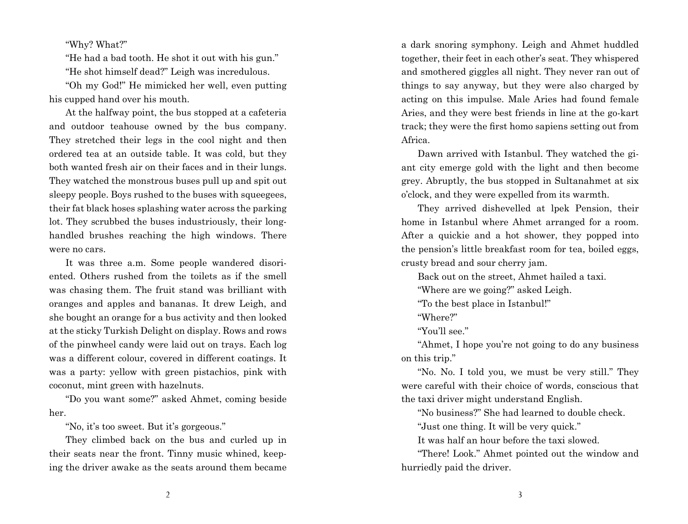## "Why? What?"

"He had a bad tooth. He shot it out with his gun." "He shot himself dead?" Leigh was incredulous.

"Oh my God!" He mimicked her well, even putting his cupped hand over his mouth.

At the halfway point, the bus stopped at a cafeteria and outdoor teahouse owned by the bus company. They stretched their legs in the cool night and then ordered tea at an outside table. It was cold, but they both wanted fresh air on their faces and in their lungs. They watched the monstrous buses pull up and spit out sleepy people. Boys rushed to the buses with squeegees, their fat black hoses splashing water across the parking lot. They scrubbed the buses industriously, their longhandled brushes reaching the high windows. There were no cars.

It was three a.m. Some people wandered disoriented. Others rushed from the toilets as if the smell was chasing them. The fruit stand was brilliant with oranges and apples and bananas. It drew Leigh, and she bought an orange for a bus activity and then looked at the sticky Turkish Delight on display. Rows and rows of the pinwheel candy were laid out on trays. Each log was a different colour, covered in different coatings. It was a party: yellow with green pistachios, pink with coconut, mint green with hazelnuts.

"Do you want some?" asked Ahmet, coming beside her.

"No, it's too sweet. But it's gorgeous."

They climbed back on the bus and curled up in their seats near the front. Tinny music whined, keeping the driver awake as the seats around them became a dark snoring symphony. Leigh and Ahmet huddled together, their feet in each other's seat. They whispered and smothered giggles all night. They never ran out of things to say anyway, but they were also charged by acting on this impulse. Male Aries had found female Aries, and they were best friends in line at the go-kart track; they were the first homo sapiens setting out from Africa.

Dawn arrived with Istanbul. They watched the giant city emerge gold with the light and then become grey. Abruptly, the bus stopped in Sultanahmet at six o'clock, and they were expelled from its warmth.

They arrived dishevelled at lpek Pension, their home in Istanbul where Ahmet arranged for a room. After a quickie and a hot shower, they popped into the pension's little breakfast room for tea, boiled eggs, crusty bread and sour cherry jam.

Back out on the street, Ahmet hailed a taxi.

"Where are we going?" asked Leigh.

"To the best place in Istanbul!"

"Where?"

"You'll see."

"Ahmet, I hope you're not going to do any business on this trip."

"No. No. I told you, we must be very still." They were careful with their choice of words, conscious that the taxi driver might understand English.

"No business?" She had learned to double check.

"Just one thing. It will be very quick."

It was half an hour before the taxi slowed.

"There! Look." Ahmet pointed out the window and hurriedly paid the driver.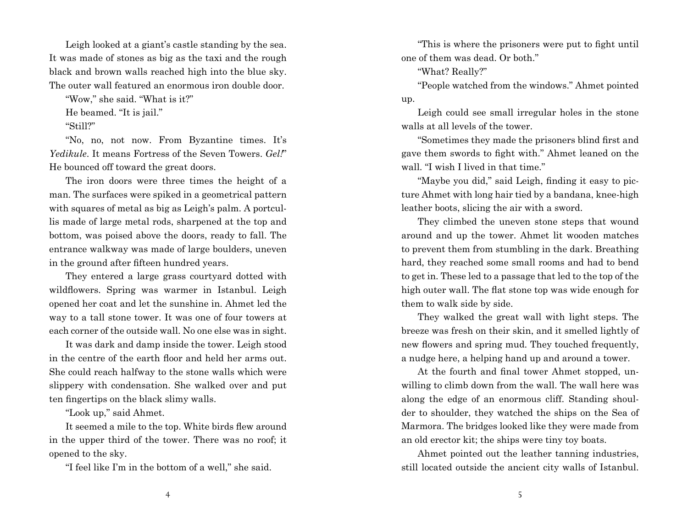Leigh looked at a giant's castle standing by the sea. It was made of stones as big as the taxi and the rough black and brown walls reached high into the blue sky. The outer wall featured an enormous iron double door.

"Wow," she said. "What is it?"

He beamed. "It is jail."

"Still?"

"No, no, not now. From Byzantine times. It's *Yedikule*. It means Fortress of the Seven Towers. *Gel!*" He bounced off toward the great doors.

The iron doors were three times the height of a man. The surfaces were spiked in a geometrical pattern with squares of metal as big as Leigh's palm. A portcullis made of large metal rods, sharpened at the top and bottom, was poised above the doors, ready to fall. The entrance walkway was made of large boulders, uneven in the ground after fifteen hundred years.

They entered a large grass courtyard dotted with wildflowers. Spring was warmer in Istanbul. Leigh opened her coat and let the sunshine in. Ahmet led the way to a tall stone tower. It was one of four towers at each corner of the outside wall. No one else was in sight.

It was dark and damp inside the tower. Leigh stood in the centre of the earth floor and held her arms out. She could reach halfway to the stone walls which were slippery with condensation. She walked over and put ten fingertips on the black slimy walls.

"Look up," said Ahmet.

It seemed a mile to the top. White birds flew around in the upper third of the tower. There was no roof; it opened to the sky.

"I feel like I'm in the bottom of a well," she said.

"This is where the prisoners were put to fight until one of them was dead. Or both."

"What? Really?"

"People watched from the windows." Ahmet pointed up.

Leigh could see small irregular holes in the stone walls at all levels of the tower.

"Sometimes they made the prisoners blind first and gave them swords to fight with." Ahmet leaned on the wall. "I wish I lived in that time."

"Maybe you did," said Leigh, finding it easy to picture Ahmet with long hair tied by a bandana, knee-high leather boots, slicing the air with a sword.

They climbed the uneven stone steps that wound around and up the tower. Ahmet lit wooden matches to prevent them from stumbling in the dark. Breathing hard, they reached some small rooms and had to bend to get in. These led to a passage that led to the top of the high outer wall. The flat stone top was wide enough for them to walk side by side.

They walked the great wall with light steps. The breeze was fresh on their skin, and it smelled lightly of new flowers and spring mud. They touched frequently, a nudge here, a helping hand up and around a tower.

At the fourth and final tower Ahmet stopped, unwilling to climb down from the wall. The wall here was along the edge of an enormous cliff. Standing shoulder to shoulder, they watched the ships on the Sea of Marmora. The bridges looked like they were made from an old erector kit; the ships were tiny toy boats.

Ahmet pointed out the leather tanning industries, still located outside the ancient city walls of Istanbul.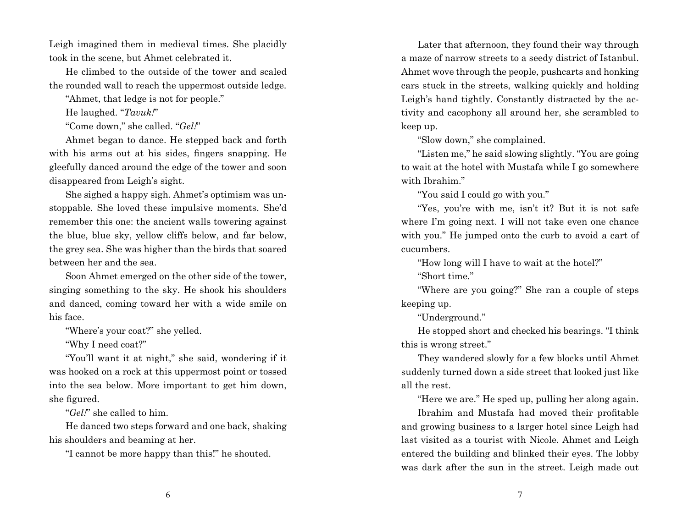Leigh imagined them in medieval times. She placidly took in the scene, but Ahmet celebrated it.

He climbed to the outside of the tower and scaled the rounded wall to reach the uppermost outside ledge.

"Ahmet, that ledge is not for people."

He laughed. "*Tavuk!*"

"Come down," she called. "*Gel!*"

Ahmet began to dance. He stepped back and forth with his arms out at his sides, fingers snapping. He gleefully danced around the edge of the tower and soon disappeared from Leigh's sight.

She sighed a happy sigh. Ahmet's optimism was unstoppable. She loved these impulsive moments. She'd remember this one: the ancient walls towering against the blue, blue sky, yellow cliffs below, and far below, the grey sea. She was higher than the birds that soared between her and the sea.

Soon Ahmet emerged on the other side of the tower, singing something to the sky. He shook his shoulders and danced, coming toward her with a wide smile on his face.

"Where's your coat?" she yelled.

"Why I need coat?"

"You'll want it at night," she said, wondering if it was hooked on a rock at this uppermost point or tossed into the sea below. More important to get him down, she figured.

"*Gel!*" she called to him.

He danced two steps forward and one back, shaking his shoulders and beaming at her.

"I cannot be more happy than this!" he shouted.

Later that afternoon, they found their way through a maze of narrow streets to a seedy district of Istanbul. Ahmet wove through the people, pushcarts and honking cars stuck in the streets, walking quickly and holding Leigh's hand tightly. Constantly distracted by the activity and cacophony all around her, she scrambled to keep up.

"Slow down," she complained.

"Listen me," he said slowing slightly. "You are going to wait at the hotel with Mustafa while I go somewhere with Ibrahim."

"You said I could go with you."

"Yes, you're with me, isn't it? But it is not safe where I'm going next. I will not take even one chance with you." He jumped onto the curb to avoid a cart of cucumbers.

"How long will I have to wait at the hotel?"

"Short time."

"Where are you going?" She ran a couple of steps keeping up.

"Underground."

He stopped short and checked his bearings. "I think this is wrong street."

They wandered slowly for a few blocks until Ahmet suddenly turned down a side street that looked just like all the rest.

"Here we are." He sped up, pulling her along again.

Ibrahim and Mustafa had moved their profitable and growing business to a larger hotel since Leigh had last visited as a tourist with Nicole. Ahmet and Leigh entered the building and blinked their eyes. The lobby was dark after the sun in the street. Leigh made out